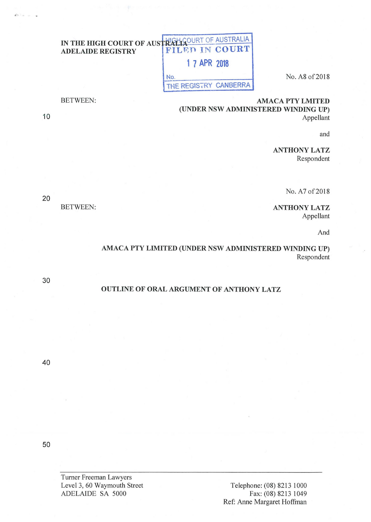## IN THE HIGH COURT OF AUSTRALIA ADELAIDE REGISTRY FILED IN COURT **1 7 APR 2018**  No. A8 of 2018 THE REGISTRY CANBERRA

AMACA PTY LMITED (UNDER NSW ADMINISTERED WINDING UP) Appellant

and

ANTHONY LATZ Respondent

No. A7 of 2018

ANTHONYLATZ Appellant

And

AMACA PTY LIMITED (UNDER NSW ADMINISTERED WINDING UP) Respondent

OUTLINE OF ORAL ARGUMENT OF ANTHONY LATZ

Turner Freeman Lawyers Leve13, 60 Waymouth Street ADELAIDE SA 5000

20

BETWEEN:

BETWEEN:

40

50

30

10

Via.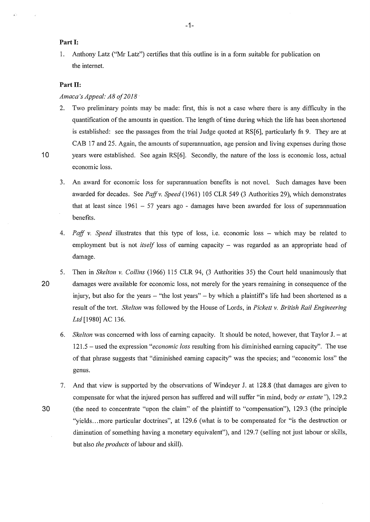1. Anthony Latz ("Mr Latz") certifies that this outline is in a fonn suitable for publication on the internet.

## Part **II**:

## *Amaca's Appeal: A8 of2018* ·

- 2. Two preliminary points may be made: first, this is not a case where there is any difficulty in the quantification of the amounts in question. The length of time during which the life has been shortened is established: see the passages from the trial Judge quoted at RS[6], particularly fn 9. They are at CAB 17 and 25. Again, the amounts of superannuation, age pension and living expenses during those 10 years were established. See again RS[6]. Secondly, the nature of the loss is economic loss, actual economic loss.
	- 3. An award for economic loss for superannuation benefits is not novel. Such damages have been awarded for decades. See *Paff v. Speed* (1961) 105 CLR 549 (3 Authorities 29), which demonstrates that at least since  $1961 - 57$  years ago - damages have been awarded for loss of superannuation benefits.
	- 4. *Paff v. Speed* illustrates that this type of loss, i.e. economic loss which may be related to employment but is not *itself* loss of earning capacity – was regarded as an appropriate head of damage.
- 5. Then in *Skelton v. Collins* (1966) 115 CLR 94, (3 Authorities 35) the Court held unanimously that **20** damages were available for economic loss, not merely for the years remaining in consequence of the injury, but also for the years – "the lost years" – by which a plaintiff's life had been shortened as a result of the tort. *Skelton* was followed by the House of Lords, in *Pickett v. British Rail Engineering*  Ltd [1980] AC 136.
	- 6. *Skelton* was concerned with loss of earning capacity. It should be noted, however, that Taylor **J.-** at 121.5 – used the expression *"economic loss* resulting from his diminished earning capacity". The use of that phrase suggests that "diminished eaming capacity" was the species; and "economic loss" the genus.
- 7. And that view is supported by the observations of Windeyer J. at 128.8 (that damages are given to compensate for what the injured person has suffered and will suffer **"in** mind, body *or estate"),* 129.2 **30** (the need to concentrate "upon the claim" of the plaintiff to "compensation"), 129.3 (the principle "yields... more particular doctrines", at 129.6 (what is to be compensated for "is the destruction or diminution of something having a monetary equivalent"), and 129.7 (selling not just labour or skills, but also *the products* of labour and skill).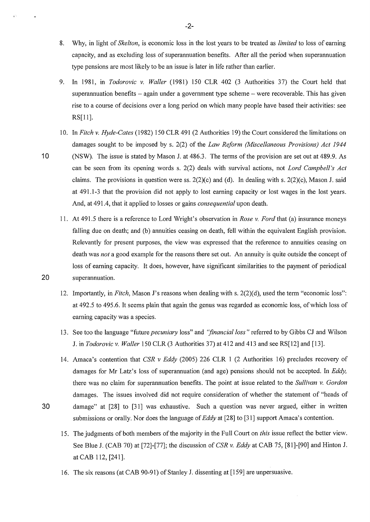- 8. Why, in light of *Skelton,* is economic loss in the lost years to be treated as *limited* to loss of earning capacity, and as excluding loss of superannuation benefits. After all the period when superannuation type pensions are most likely to be an issue is later in life rather than earlier.
- 9. In 1981, in *Todorovic v. Wailer* (1981) 150 CLR 402 (3 Authorities 37) the Court held that superannuation benefits  $-$  again under a government type scheme  $-$  were recoverable. This has given rise to a course of decisions over a long period on which many people have based their activities: see RS[ll].
- 10. In *Fitch v. Hyde-Cates* ( 1982) 150 CLR 491 (2 Authorities 19) the Court considered the limitations on damages sought to be imposed by s. 2(2) of the *Law Reform (Miscellaneous Provisions) Act 1944*
- 10 (NSW). The issue is stated by Mason I. at 486.3. The terms of the provision are set out at 489.9. As can be seen from its opening words s. 2(2) deals with survival actions, not *Lord Campbeil 's Act*  claims. The provisions in question were ss.  $2(2)(c)$  and (d). In dealing with s.  $2(2)(c)$ , Mason J. said at 491.1-3 that the provision did not apply to lost earning capacity or lost wages in the lost years. And, at 491.4, that it applied to losses or gains *consequential* upon death.
- 11. At 491.5 there is a reference to Lord Wright's observation in *Rose v. Ford* that (a) insurance moneys falling due on death; and (b) annuities ceasing on death, fell within the equivalent English provision. Relevantly for present purposes, the view was expressed that the reference to annuities ceasing on death was *not* a good example for the reasons there set out. An annuity is quite outside the concept of loss of earning capacity. It does, however, have significant similarities to the payment of periodical 20 superannuation.
	- 12. Importantly, in *Fitch,* Mason J's reasons when dealing with s. 2(2)(d), used the term "economic loss": at 492.5 to 495.6. It seems plain that again the genus was regarded as economic loss, of which loss of earning capacity was a species.
	- 13. See too the language "future *pecuniary* loss" and *''financial loss"* referred to by Gibbs CJ and Wilson J. in *Todorovic v. Wailer* 150 CLR (3 Authorities 37) at 412 and 413 and see RS[12] and [13].
- 14. Amaca's contention that *CSR v Eddy* (2005) 226 CLR 1 (2 Authorities 16) precludes recovery of damages for Mr Latz's loss of superannuation (and age) pensions should not be accepted. In *Eddy,*  there was no claim for superannuation benefits. The point at issue related to the *Sullivan v. Gordon*  damages. The issues involved did not require consideration of whether the statement of "heads of 30 damage" at [28] to [31] was exhaustive. Such a question was never argued, either in written submissions or orally. Nor does the language of *Eddy* at [28] to [31] support Amaca's contention.
	- 15. The judgments of both members of the majority in the Full Court on *this* issue reflect the better view. See Blue J. (CAB 70) at [72]-[77]; the discussion of *CSR v. Eddy* at CAB 75, [81]-[90] and Hinton J. at CAB 112, [241].
	- 16. The six reasons (at CAB 90-91) of Stanley J. dissenting at [159] are unpersuasive.

-2-